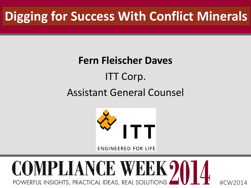# **Digging for Success With Conflict Minerals**

### **Fern Fleischer Daves** ITT Corp. Assistant General Counsel



**ENGINEERED FOR LIFE** 

#### COMPLIANCE WEEK 201 POWERFUL INSIGHTS, PRACTICAL IDEAS, REAL SOLUTIONS #CW2014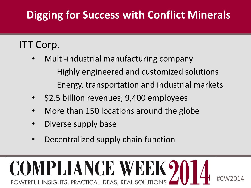### **Digging for Success with Conflict Minerals**

#### ITT Corp.

- Multi-industrial manufacturing company Highly engineered and customized solutions Energy, transportation and industrial markets
- \$2.5 billion revenues; 9,400 employees
- More than 150 locations around the globe
- Diverse supply base
- Decentralized supply chain function

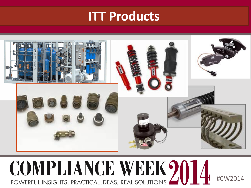#### **ITT Products**



### COMPLIANCE WEEK 20 #CW2014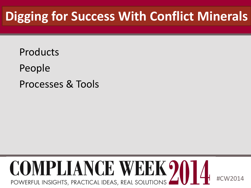# **Digging for Success With Conflict Minerals**

Products People Processes & Tools

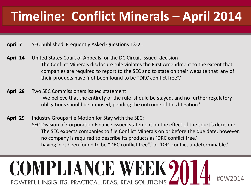# **Timeline: Conflict Minerals – April 2014**

- **April 7** SEC published Frequently Asked Questions 13-21.
- **April 14** United States Court of Appeals for the DC Circuit issued decision The Conflict Minerals disclosure rule violates the First Amendment to the extent that companies are required to report to the SEC and to state on their website that any of their products have 'not been found to be "DRC conflict free".'
- **April 28** Two SEC Commissioners issued statement 'We believe that the entirety of the rule should be stayed, and no further regulatory obligations should be imposed, pending the outcome of this litigation.'
- **April 29** Industry Groups file Motion for Stay with the SEC; SEC Division of Corporation Finance issued statement on the effect of the court's decision: The SEC expects companies to file Conflict Minerals on or before the due date, however, no company is required to describe its products as 'DRC conflict free,' having 'not been found to be "DRC conflict free",' or 'DRC conflict undeterminable.'

#### COMPLIANCE WEEK? #CW2014 POWERFUL INSIGHTS, PRACTICAL IDEAS, REAL SOLUTIONS